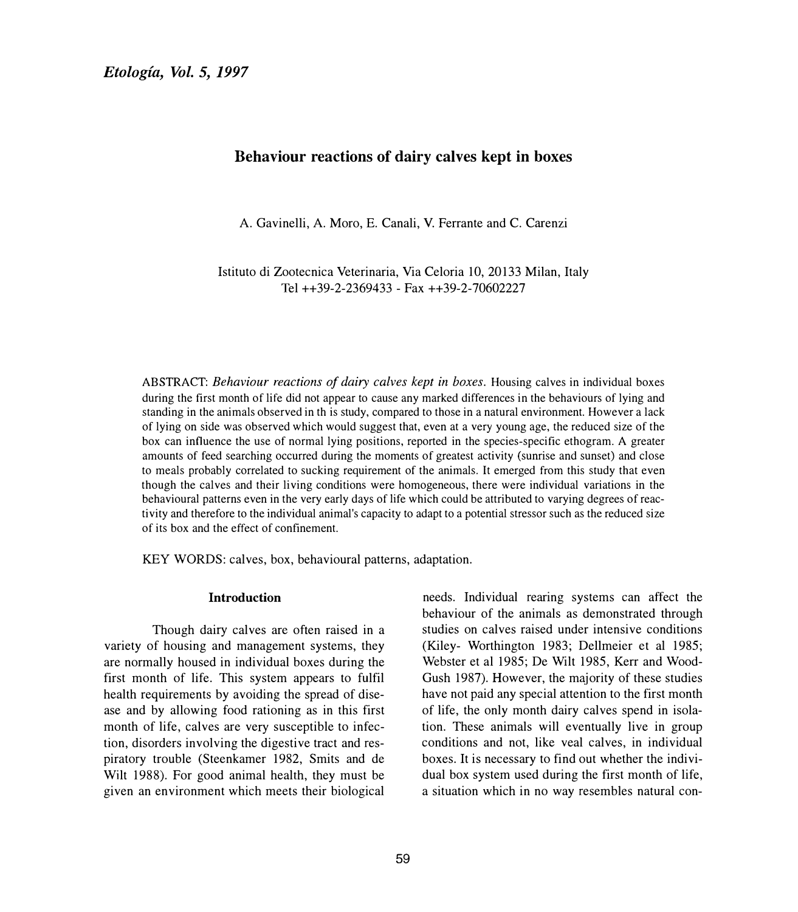# **Behaviour reactions of dairy calves kept in boxes**

A. Gavinelli, A. Moro, E. Canali, V. Ferrante and C. Carenzi

Istituto di Zootecnica Veterinaria, Via Celoria 10, 20133 Milan, Italy Tel ++39-2-2369433 - Fax ++39-2-70602227

ABSTRACT: *Behaviour reactions of dairy calves kept in boxes.* Housing calves in individual boxes during the first month of life did not appear to cause any marked differences in the behaviours of lying and standing in the animals observed in th is study, compared to those in a natural environment. However a lack of lying on side was observed which would suggest that, even at a very young age, the reduced size of the box can influence the use of normal lying positions, reported in the species-specific ethogram. A greater amounts of feed searching occurred during the moments of greatest activity (sunrise and sunset) and close to meals probably correlated to sucking requirement of the animals. It emerged from this study that even though the calves and their living conditions were homogeneous, there were individual variations in the behavioural patterns even in the very early days of life which could be attributed to varying degrees of reactivity and therefore to the individual animal's capacity to adapt to a potential stressor such as the reduced size of its box and the effect of confinement.

KEY WORDS: calves, box, behavioural patterns, adaptation.

#### **Introduction**

Though dairy calves are often raised in a variety of housing and management systems, they are normally housed in individual boxes during the first month of life. This system appears to fulfil health requirements by avoiding the spread of disease and by allowing food rationing as in this first month of life, calves are very susceptible to infection, disorders involving the digestive tract and respiratory trouble (Stecnkamer 1982, Smits and de Wilt 1988). For good animal health, they must be given an environment which meets their biological

needs. Individual rearing systems can affect the behaviour of the animals as demonstrated through studies on calves raised under intensive conditions (Kiley- Worthington 1983; Dellmeier et al 1985; Webster et al 1985; De Wilt 1985, Kerr and Wood-Gush 1987). However, the majority of these studies have not paid any special attention to the first month of life, the only month dairy calves spend in isolation. These animals will eventually live in group conditions and not, like veal calves, in individual boxes. It is necessary to find out whether the individual box system used during the first month of life, a situation which in no way resembles natural con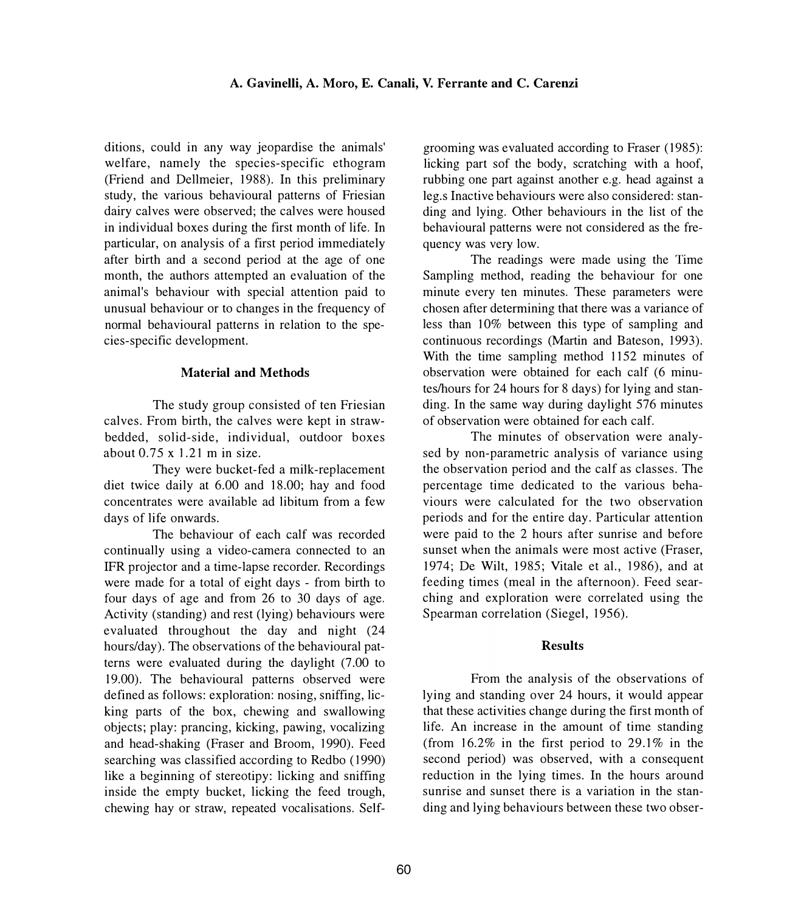ditions, could in any way jeopardise the animals' welfare, namely the species-specific ethogram (Friend and Dellmeier, 1988). In this preliminary study, the various behavioural patterns of Friesian dairy calves were observed; the calves were housed in individual boxes during the first month of life. In particular, on analysis of a first period immediately after birth and a second period at the age of one month, the authors attempted an evaluation of the animal's behaviour with special attention paid to unusual behaviour or to changes in the frequency of normal behavioural patterns in relation to the species-specific development.

## **Material and Methods**

The study group consisted of ten Friesian calves. From birth, the calves were kept in strawbedded, solid-side, individual, outdoor boxes about 0.75 x 1.21 m in size.

They were bucket-fed a milk-replacement diet twice daily at 6.00 and 18.00; hay and food concentrates were available ad libitum from a few days of life onwards.

The behaviour of each calf was recorded continually using a video-camera connected to an IPR projector and a time-lapse recorder. Recordings were made for a total of eight days - from birth to four days of age and from 26 to 30 days of age. Activity (standing) and rest (lying) behaviours were evaluated throughout the day and night (24 hours/day). The observations of the behavioural patterns were evaluated during the daylight (7.00 to 19.00). The behavioural patterns observed were defined as follows: exploration: nosing, sniffing, licking parts of the box, chewing and swallowing objects; play: prancing, kicking, pawing, vocalizing and head-shaking (Fraser and Broom, 1990). Feed searching was classified according to Redbo ( 1990) like a beginning of stereotipy: licking and sniffing inside the empty bucket, licking the feed trough, chewing hay or straw, repeated vocalisations. Selfgrooming was evaluated according to Fraser (1985): licking part sof the body, scratching with a hoof, rubbing one part against another e.g. head against a leg.s Inactive behaviours were also considered: standing and lying. Other behaviours in the list of the behavioural patterns were not considered as the frequency was very low.

The readings were made using the Time Sampling method, reading the behaviour for one minute every ten minutes. These parameters were chosen after determining that there was a variance of less than 10% between this type of sampling and continuous recordings (Martin and Bateson, 1993). With the time sampling method 1152 minutes of observation were obtained for each calf (6 minutes/hours for 24 hours for 8 days) for lying and standing. In the same way during daylight 576 minutes of observation were obtained for each calf.

The minutes of observation were analysed by non-parametric analysis of variance using the observation period and the calf as classes. The percentage time dedicated to the various behaviours were calculated for the two observation periods and for the entire day. Particular attention were paid to the 2 hours after sunrise and before sunset when the animals were most active (Fraser, 1974; De Wilt, 1985; Vitale et al., 1986), and at feeding times (meal in the afternoon). Feed searching and exploration were correlated using the Spearman correlation (Siegel, 1956).

### **Results**

From the analysis of the observations of lying and standing over 24 hours, it would appear that these activities change during the first month of life. An increase in the amount of time standing (from  $16.2\%$  in the first period to 29.1% in the second period) was observed, with a consequent reduction in the lying times. In the hours around sunrise and sunset there is a variation in the standing and lying behaviours between these two obser-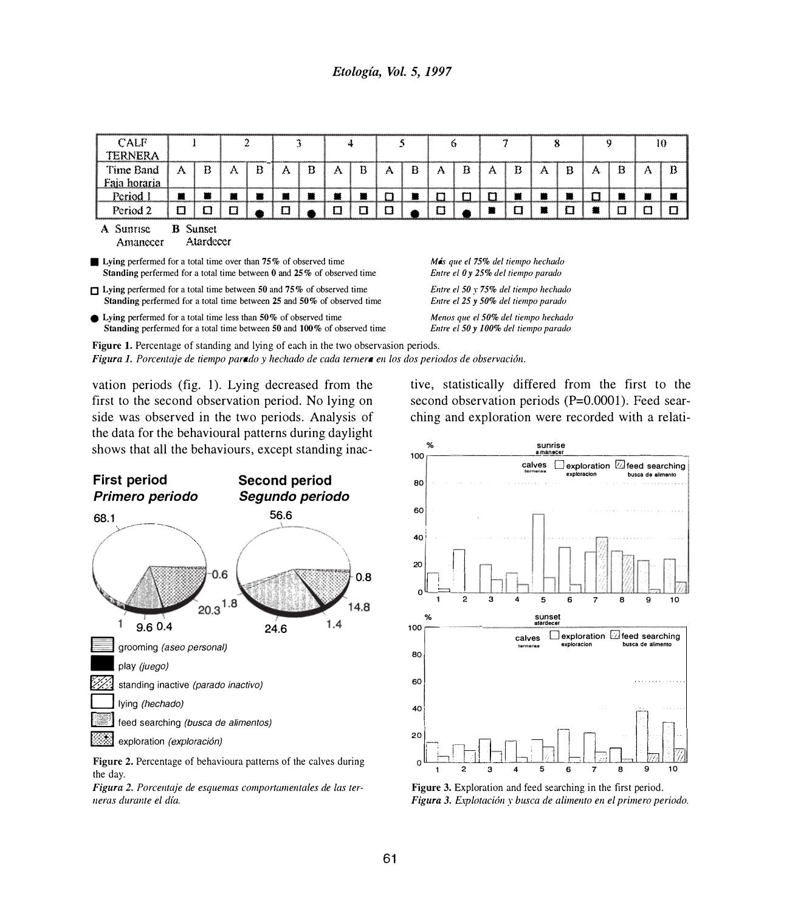## *Etologia, Vol.* 5, *1997*

| CALF<br>TERNERA                                                                                                                                                                |                                                                                                                                                                                                         |   | 2 |   | 3 |   | 4 |   | 5 |   | 6                                                                       |                                                                             |   |   | 8 |   | 9 |           | 10 |   |  |
|--------------------------------------------------------------------------------------------------------------------------------------------------------------------------------|---------------------------------------------------------------------------------------------------------------------------------------------------------------------------------------------------------|---|---|---|---|---|---|---|---|---|-------------------------------------------------------------------------|-----------------------------------------------------------------------------|---|---|---|---|---|-----------|----|---|--|
| Time Band<br>Faja horaria                                                                                                                                                      | A                                                                                                                                                                                                       | B | А | B | A | B | A | в | A | Ð | A                                                                       | B                                                                           | A | B | A | B | A | B         | A  | B |  |
| Period 1                                                                                                                                                                       | 叢                                                                                                                                                                                                       | 叢 | и | ₩ | 叢 | ≖ | к | ₩ | 0 | 叢 | O                                                                       | □                                                                           | O | 叢 |   | ₩ | п | $\bullet$ |    |   |  |
| Period 2                                                                                                                                                                       | Ω                                                                                                                                                                                                       | Ω | п |   |   |   | п | Ω | α |   | n                                                                       |                                                                             |   | П |   | O |   | Ω         |    |   |  |
| Atardecer<br>Amanecer<br><b>Lying perfermed for a total time over than 75% of observed time</b><br>Standing perfermed for a total time between $0$ and $25\%$ of observed time |                                                                                                                                                                                                         |   |   |   |   |   |   |   |   |   | Más que el 75% del tiempo hechado<br>Entre el 0 y 25% del tiempo parado |                                                                             |   |   |   |   |   |           |    |   |  |
| Lying perfermed for a total time between 50 and 75% of observed time<br>Standing perfermed for a total time between 25 and 50% of observed time                                |                                                                                                                                                                                                         |   |   |   |   |   |   |   |   |   |                                                                         | Entre el 50 y 75% del tiempo hechado<br>Entre el 25 y 50% del tiempo parado |   |   |   |   |   |           |    |   |  |
| $\bullet$ Lying perfermed for a total time less than 50% of observed time<br>Standing perfermed for a total time between 50 and 100% of observed time                          |                                                                                                                                                                                                         |   |   |   |   |   |   |   |   |   |                                                                         | Menos que el 50% del tiempo hechado<br>Entre el 50 y 100% del tiempo parado |   |   |   |   |   |           |    |   |  |
|                                                                                                                                                                                | <b>Figure 1.</b> Percentage of standing and lying of each in the two observasion periods.<br><b>Figura 1.</b> Porcentaje de tiempo parado y hechado de cada ternera en los dos periodos de observación. |   |   |   |   |   |   |   |   |   |                                                                         |                                                                             |   |   |   |   |   |           |    |   |  |

vation periods (fig. 1). Lying decreased from the first to the second observation period. No lying on side was observed in the two periods. Analysis of the data for the behavioural patterns during daylight shows that all the behaviours, except standing inac-



**Figure 2.** Percentage of behavioura patterns of the calves during the day.

*Figura 2. Porcentaje de esquemas comportamentales de las ter*neras durante el día.

tive, statistically differed from the first to the second observation periods (P=0.0001). Feed searching and exploration were recorded with a relati-



**Figure 3.** Exploration and feed searching in the first period.  $Figure 3.$  Explotación y busca de alimento en el primero periodo.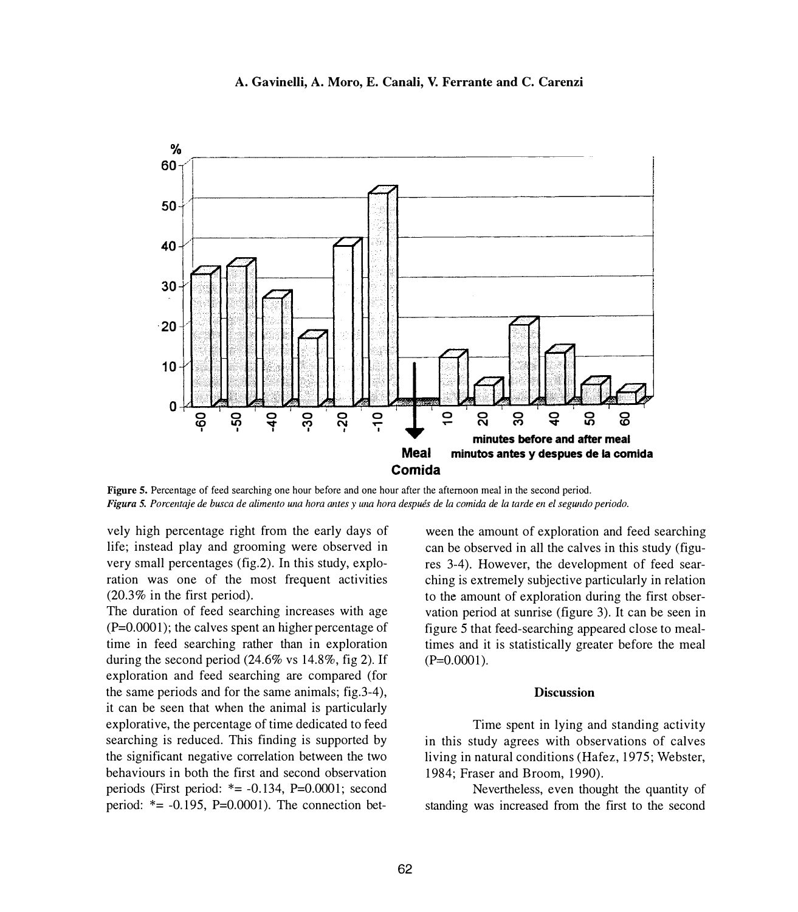

**A. Gavinelli, A. Moro, E. Canali, V. Ferrante and C. Carenzi**

**Figure 5.** Percentage of feed searching one hour before and one hour after the afternoon meal in the second period. *Figura 5. Porcentaje de busca de alimento una hora antes y una hora después de la comida de la tarde en el segundo periodo.* 

vely high percentage right from the early days of life; instead play and grooming were observed in very small percentages (fig.2). In this study, exploration was one of the most frequent activities (20.3% in the first period).

The duration of feed searching increases with age (P=0.0001); the calves spent an higher percentage of time in feed searching rather than in exploration during the second period (24.6% vs 14.8%, fig 2). If exploration and feed searching are compared (for the same periods and for the same animals; fig.3-4), it can be seen that when the animal is particularly explorative, the percentage of time dedicated to feed searching is reduced. This finding is supported by the significant negative correlation between the two behaviours in both the first and second observation periods (First period:  $*= -0.134$ , P=0.0001; second period:  $*= -0.195$ , P=0.0001). The connection bet-

ween the amount of exploration and feed searching can be observed in all the calves in this study (figures 3-4). However, the development of feed searching is extremely subjective particularly in relation to the amount of exploration during the first observation period at sunrise (figure 3). It can be seen in figure *5* that feed-searching appeared close to mealtimes and it is statistically greater before the meal  $(P=0.0001)$ .

### **Discussion**

Time spent in lying and standing activity in this study agrees with observations of calves living in natural conditions (Hafez, 1975; Webster, 1984; Fraser and Broom, 1990).

Nevertheless, even thought the quantity of standing was increased from the first to the second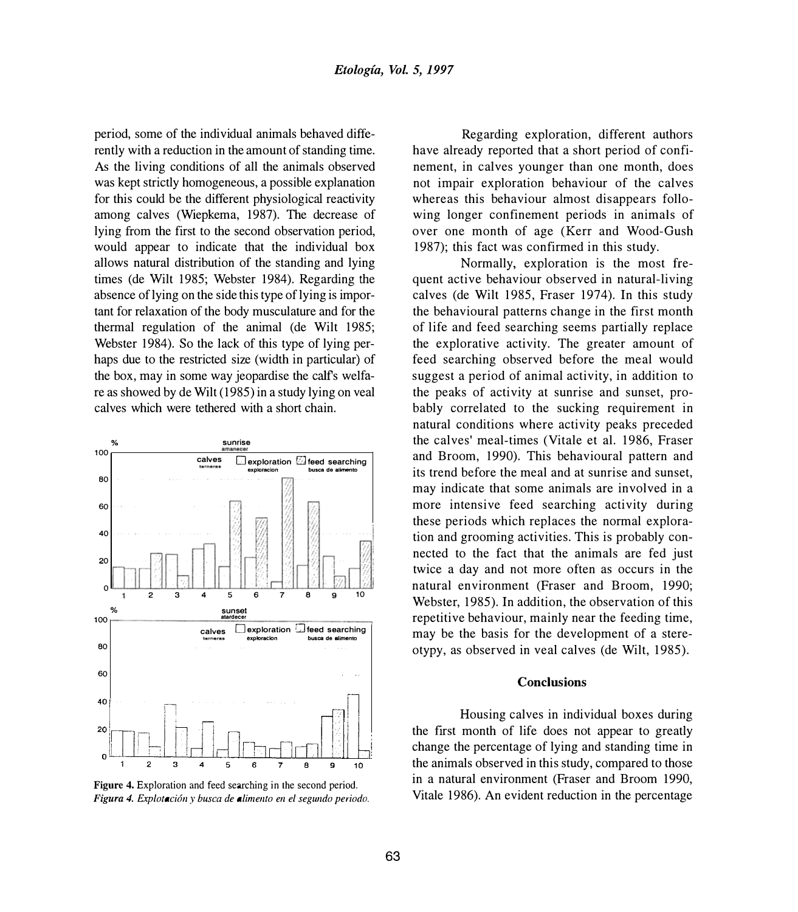period, some of the individual animals behaved differently with a reduction in the amount of standing time. As the living conditions of all the animals observed was kept strictly homogeneous, a possible explanation for this could be the different physiological reactivity among calves (Wiepkema, 1987). The decrease of lying from the first to the second observation period, would appear to indicate that the individual box allows natural distribution of the standing and lying times (de Wilt 1985; Webster 1984). Regarding the absence of lying on the side this type of lying is important for relaxation of the body musculature and for the thermal regulation of the animal (de Wilt 1985; Webster 1984). So the lack of this type of lying perhaps due to the restricted size (width in particular) of the box, may in some way jeopardise the calfs welfare as showed by de Wilt ( 1985) in a study lying on veal calves which were tethered with a short chain.





Regarding exploration, different authors have already reported that a short period of confinement, in calves younger than one month, does not impair exploration behaviour of the calves whereas this behaviour almost disappears following longer confinement periods in animals of over one month of age (Kerr and Wood-Gush 1987); this fact was confirmed in this study.

Normally, exploration is the most frequent active behaviour observed in natural-living calves (de Wilt 1985, Fraser 1974). In this study the behavioural patterns change in the first month of life and feed searching seems partially replace the explorative activity. The greater amount of feed searching observed before the meal would suggest a period of animal activity, in addition to the peaks of activity at sunrise and sunset, probably correlated to the sucking requirement in natural conditions where activity peaks preceded the calves' meal-times (Vitale et al. 1986, Fraser and Broom, 1990). This behavioural pattern and its trend before the meal and at sunrise and sunset, may indicate that some animals are involved in a more intensive feed searching activity during these periods which replaces the normal exploration and grooming activities. This is probably connected to the fact that the animals are fed just twice a day and not more often as occurs in the natural environment (Fraser and Broom, 1990; Webster, 1985). In addition, the observation of this repetitive behaviour, mainly near the feeding time, may be the basis for the development of a stereotypy, as observed in veal calves (de Wilt, 1985).

#### **Conclusions**

Housing calves in individual boxes during the first month of life does not appear to greatly change the percentage of lying and standing time in the animals observed in this study, compared to those in a natural environment (Fraser and Broom 1990, Vitale 1986). An evident reduction in the percentage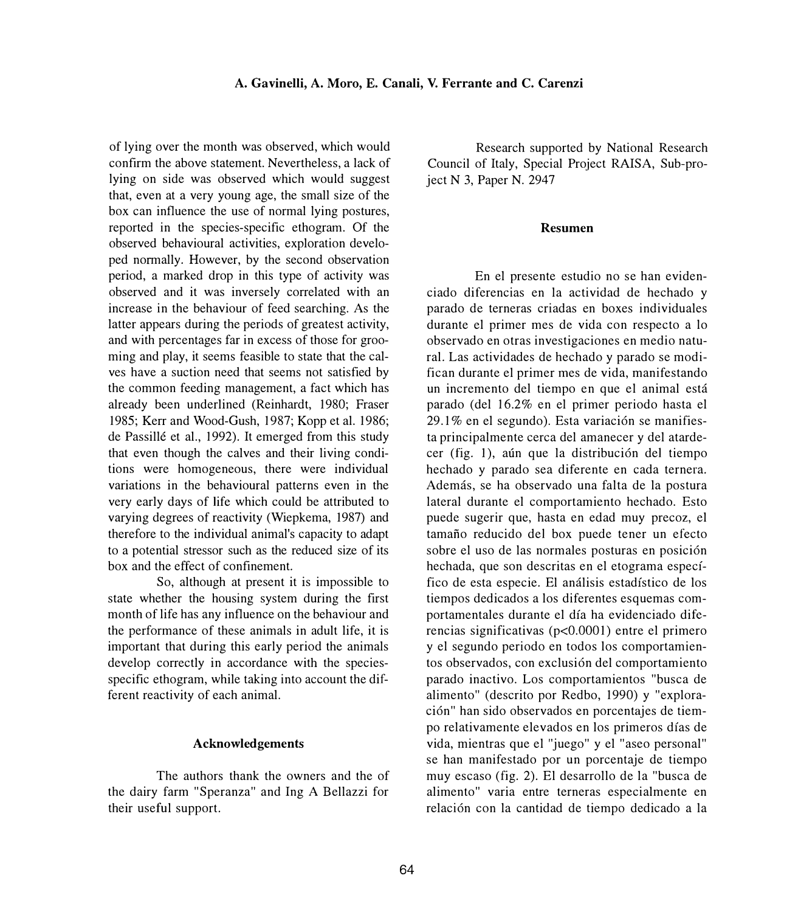of lying over the month was observed, which would confirm the above statement. Nevertheless, a lack of lying on side was observed which would suggest that, even at a very young age, the small size of the box can influence the use of normal lying postures, reported in the species-specific ethogram. Of the observed behavioural activities, exploration developed normally. However, by the second observation period, a marked drop in this type of activity was observed and it was inversely correlated with an increase in the behaviour of feed searching. As the latter appears during the periods of greatest activity, and with percentages far in excess of those for grooming and play, it seems feasible to state that the calves have a suction need that seems not satisfied by the common feeding management, a fact which has already been underlined (Reinhardt, 1980; Fraser 1985; Kerr and Wood-Gush, 1987; Kopp et al. 1986; de Passillé et al., 1992). It emerged from this study that even though the calves and their living conditions were homogeneous, there were individual variations in the behavioural patterns even in the very early days of life which could be attributed to varying degrees of reactivity (Wicpkema, 1987) and therefore to the individual animal's capacity to adapt to a potential stressor such as the reduced size of its box and the effect of confinement.

So, although at present it is impossible to state whether the housing system during the first month of life has any influence on the behaviour and the performance of these animals in adult life, it is important that during this early period the animals develop correctly in accordance with the speciesspecific ethogram, while taking into account the different reactivity of each animal.

### **Acknowledgements**

The authors thank the owners and the of the dairy farm "Speranza" and Ing A Bellazzi for their useful support.

Research supported by National Research Council of Italy, Special Project RAISA, Sub-project  $N$  3, Paper N, 2947

#### **Resumen**

En el presente estudio no se han evidenciado difercncias en la actividad de hechado y parado de terneras criadas en boxes individuales durante cl primer mes de vida con respecto a lo observado en otras investigaciones en medio natural. Las actividades de hechado y parado se modifican durantc el primer mes de vida, manifestando un incremento del tiempo en que el animal está parado (del 16.2% en el primer periodo hasta el  $29.1\%$  en el segundo). Esta variación se manifiesta principalmente cerca del amanecer y del atardecer (fig. 1), aún que la distribución del tiempo hcchado y parado sea diferente en cada ternera. Además, se ha observado una falta de la postura lateral durante el comportamiento hechado. Esto puede sugerir que, hasta en edad muy precoz, el tamafio reducido de! box puedc tener un efecto sobre el uso de las normales posturas en posición hechada, que son descritas en el etograma específico de esta especie. El analisis estadfstico de los tiempos dedicados a los diferentes esquemas comportamentalcs durante el dfa ha evidenciado difcrencias significativas (p<0.0001) entre el primero y el segundo periodo en todos los comportamientos observados, con exclusión del comportamiento parado inactivo. Los comportamientos "busca de alimcnto" (descrito por Redbo, 1990) y "exploraci6n" han sido observados en porcentajes de tiempo relativamente elevados en los primeros días de vida, micntras que el "juego" y el "asco personal" se han manifestado por un porcentaje de tiempo muy escaso (fig. 2). El desarrollo de la "busca de alimento" varia entre terneras especialmente en relación con la cantidad de tiempo dedicado a la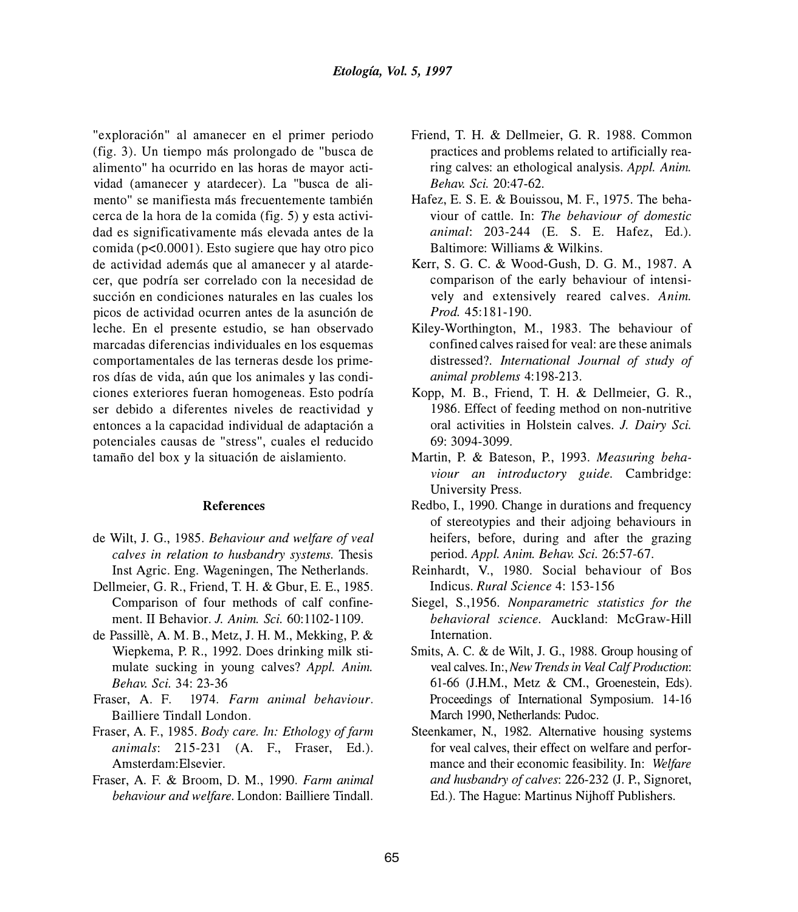"exploraci6n" al amanecer en el primer periodo (fig. 3). Un tiempo más prolongado de "busca de alimento" ha ocurrido en las horas de mayor actividad (amanecer y atardecer). La "busca de alimento" se manifiesta más frecuentemente también cerca de la hora de la comida (fig. 5) y esta actividad es significativamente más elevada antes de la comida (p<0.0001). Esto sugiere que hay otro pico de actividad además que al amanecer y al atardecer, que podrfa ser correlado con la necesidad de succión en condiciones naturales en las cuales los picos de actividad ocurren antes de la asunción de leche. En el presente estudio, se han observado marcadas diferencias individuales en los esquemas comportamentales de las terneras desde los primeros días de vida, aún que los animales y las condiciones exteriores fueran homogeneas. Esto podrfa ser debido a diferentes niveles de reactividad y entonces a la capacidad individual de adaptación a potenciales causas de "stress", cuales el reducido tamaño del box y la situación de aislamiento.

#### **References**

- de Wilt, J. G., 1985. *Behaviour and welfare of veal calves in relation to husbandry systems.* Thesis Inst Agric. Eng. Wageningen, The Netherlands.
- Dellmeier, G. R., Friend, T. H. & Gbur, E. E., 1985. Comparison of four methods of calf confinement. II Behavior. *J. Anim. Sci.* 60: 1102-1109.
- de Passille, A. M. B., Metz, J. H. M., Mekking, P. & Wiepkema, P. R., 1992. Does drinking milk stimulate sucking in young calves? *Appl. Anim. Behav. Sci.* 34: 23-36
- Fraser, A. F. 1974. *Farm animal behaviour.*  Bailliere Tindall London.
- Fraser, A. F., 1985. *Body care. In: Ethology of farm animals:* 215-231 (A. F., Fraser, Ed.). Amsterdam: Elsevier.
- Fraser, A. F. & Broom, D. M., 1990. *Fann animal behaviour and welfare.* London: Bailliere Tindall.
- Friend, T. H. & Dellmeier, G. R. 1988. Common practices and problems related to artificially rearing calves: an ethological analysis. *Appl. Anim. Behav. Sci.* 20:47-62.
- Hafez, E. S. E. & Bouissou, M. F., 1975. The behaviour of cattle. In: *The behaviour of domestic animal:* 203-244 (E. S. E. Hafez, Ed.). Baltimore: Williams & Wilkins.
- Kerr, S. G. C. & Wood-Gush, D. G. M., 1987. A comparison of the early behaviour of intensively and extensively reared calves. *Anim. Prod.* 45:181-190.
- Kiley-Worthington, M., 1983. The behaviour of confined calves raised for veal: are these animals distressed?. *International Journal of study of animal problems* 4:198-213.
- Kopp, M. B., Friend, T. H. & Dellmeier, G. R., 1986. Effect of feeding method on non-nutritive oral activities in Holstein calves. *J. Dairy Sci.*  69: 3094-3099.
- Martin, P. & Bateson, P., 1993. *Measuring behaviour an introductory guide.* Cambridge: University Press.
- Redbo, I., 1990. Change in durations and frequency of stereotypies and their adjoing behaviours in heifers, before, during and after the grazing period. *Appl. Anim. Behav. Sci.* 26:57-67.
- Reinhardt, V., 1980. Social behaviour of Bos Indicus. *Rural Science* 4: 153-156
- Siegel, S.,1956. *Nonparametric statistics for the behavioral science.* Auckland: McGraw-Hill Internation.
- Smits, A. C. & de Wilt, J. G., 1988. Group housing of veal calves. In:, *New Trends in Veal Calf Production:*  61-66 (J.H.M., Metz & CM., Groenestein, Eds). Proceedings of International Symposium. 14-16 March 1990, Netherlands: Pudoc.
- Steenkamer, N., 1982. Alternative housing systems for veal calves, their effect on welfare and performance and their economic feasibility. In: *Welfare and husbandry of calves:* 226-232 (J. P., Signoret, Ed.). The Hague: Martinus Nijhoff Publishers.